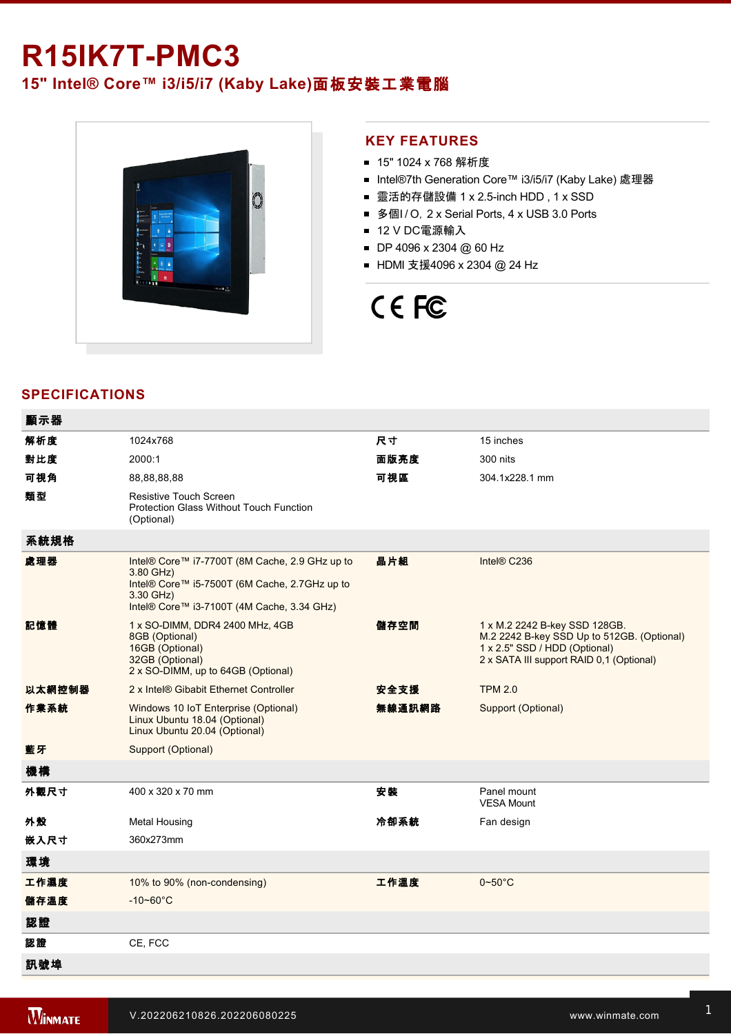# **R15IK7T-PMC3**

**15" Intel® Core™ i3/i5/i7 (Kaby Lake)**面板安裝工業電腦



## **KEY FEATURES**

- 15" 1024 x 768 解析度
- Intel®7th Generation Core™ i3/i5/i7 (Kaby Lake) 處理器
- 靈活的存儲設備 1 x 2.5-inch HDD, 1 x SSD
- 多個I / O, 2 x Serial Ports, 4 x USB 3.0 Ports
- 12 V DC電源輸入
- DP 4096 x 2304 @ 60 Hz
- HDMI 支援4096 x 2304 @ 24 Hz

# CE FC

# **SPECIFICATIONS**

| 顯示器    |                                                                                                                                                                         |        |                                                                                                                                                          |
|--------|-------------------------------------------------------------------------------------------------------------------------------------------------------------------------|--------|----------------------------------------------------------------------------------------------------------------------------------------------------------|
| 解析度    | 1024x768                                                                                                                                                                | 尺寸     | 15 inches                                                                                                                                                |
| 對比度    | 2000:1                                                                                                                                                                  | 面版亮度   | 300 nits                                                                                                                                                 |
| 可視角    | 88,88,88,88                                                                                                                                                             | 可視區    | 304.1x228.1 mm                                                                                                                                           |
| 類型     | <b>Resistive Touch Screen</b><br><b>Protection Glass Without Touch Function</b><br>(Optional)                                                                           |        |                                                                                                                                                          |
| 系統規格   |                                                                                                                                                                         |        |                                                                                                                                                          |
| 處理器    | Intel® Core™ i7-7700T (8M Cache, 2.9 GHz up to<br>3.80 GHz)<br>Intel® Core™ i5-7500T (6M Cache, 2.7GHz up to<br>3.30 GHz)<br>Intel® Core™ i3-7100T (4M Cache, 3.34 GHz) | 晶片組    | Intel® C236                                                                                                                                              |
| 記憶體    | 1 x SO-DIMM, DDR4 2400 MHz, 4GB<br>8GB (Optional)<br>16GB (Optional)<br>32GB (Optional)<br>2 x SO-DIMM, up to 64GB (Optional)                                           | 儲存空間   | 1 x M.2 2242 B-key SSD 128GB.<br>M.2 2242 B-key SSD Up to 512GB. (Optional)<br>1 x 2.5" SSD / HDD (Optional)<br>2 x SATA III support RAID 0,1 (Optional) |
| 以太網控制器 | 2 x Intel® Gibabit Ethernet Controller                                                                                                                                  | 安全支援   | <b>TPM 2.0</b>                                                                                                                                           |
| 作業系統   | Windows 10 IoT Enterprise (Optional)<br>Linux Ubuntu 18.04 (Optional)<br>Linux Ubuntu 20.04 (Optional)                                                                  | 無線通訊網路 | Support (Optional)                                                                                                                                       |
| 藍牙     | Support (Optional)                                                                                                                                                      |        |                                                                                                                                                          |
| 機構     |                                                                                                                                                                         |        |                                                                                                                                                          |
| 外觀尺寸   | 400 x 320 x 70 mm                                                                                                                                                       | 安裝     | Panel mount<br><b>VESA Mount</b>                                                                                                                         |
| 外殼     | <b>Metal Housing</b>                                                                                                                                                    | 冷卻系統   | Fan design                                                                                                                                               |
| 嵌入尺寸   | 360x273mm                                                                                                                                                               |        |                                                                                                                                                          |
| 環境     |                                                                                                                                                                         |        |                                                                                                                                                          |
| 工作濕度   | 10% to 90% (non-condensing)                                                                                                                                             | 工作溫度   | $0\negthinspace\negthinspace\negthinspace 50^{\circ}\mathrm{C}$                                                                                          |
| 儲存溫度   | $-10 - 60^{\circ}C$                                                                                                                                                     |        |                                                                                                                                                          |
| 認證     |                                                                                                                                                                         |        |                                                                                                                                                          |
| 認證     | CE, FCC                                                                                                                                                                 |        |                                                                                                                                                          |
| 訊號埠    |                                                                                                                                                                         |        |                                                                                                                                                          |

and the state of the state of the state of the state of the state of the state of the state of the state of th

 $\mathcal{L}^2$  and  $\mathcal{L}^2$  is  $\mathcal{L}^2$  for  $\mathcal{L}^2$  for  $\mathcal{L}^2$  for  $\mathcal{L}^2$  for  $\mathcal{L}^2$  for  $\mathcal{L}^2$  for  $\mathcal{L}^2$  for  $\mathcal{L}^2$